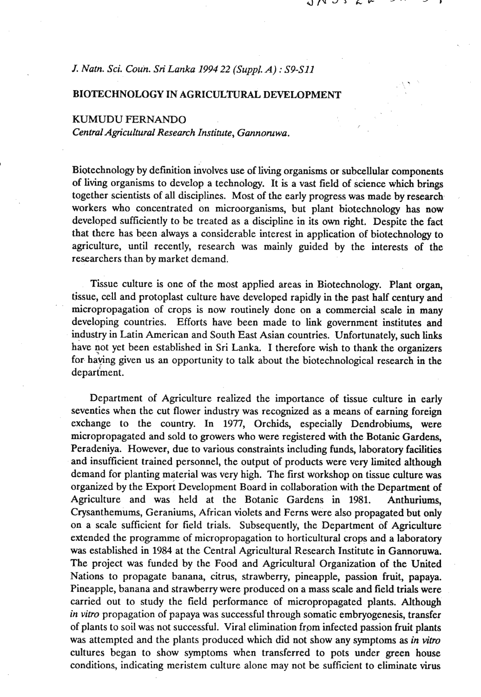**5.** 

### *J. Natn. Sci. Coun. Sri Lanka 1994 22 (Suppl. A)* : *S9-Sl1*

### BIOTECHNOLOGY IN AGRICULTURAL DEVELOPMENT

# KUMUDU FERNANDO

*CentralAgricultu~al Research Institute, Gannomwa.* 

Biotechnology by definition involves use of living organisms or subcellular components of living organisms to develop a technology. It is a vast field of science which brings together scientists of **all** disciplines. Most of the early progress was made by research workers who concentrated on microorganisms, but plant biotechnology has now developed sufficiently to be treated as a discipline in its own right. Despite the fact that there has been always a considerable interest in application of biotechnology to agriculture, until recently, research was mainly guided by the interests of the researchers than by market demand.

Tissue culture is one of the most applied areas in Biotechnology. Plant organ, tissue, cell and protoplast culture have developed rapidly in the past half century and micropropagation of crops is now routinely done on a commercial scale in many developing countries. Efforts have been made to link government institutes and industry in Latin American and South East Asian countries. Unfortunately, such links have not yet been established in Sri Lanka. I therefore wish to thank the organizers for haying given us an opportunity to talk about the biotechnological research in the department.

Department of Agriculture realized the importance of tissue culture in early seventies when the cut flower industry was recognized as a means of earning foreign exchange to the country. In **1977,** Orchids, especially Dendrobiums, were micropropagated and sold to growers who were registered with the Botanic Gardens, Peradeniya. However, due to various constraints including funds, laboratory facilities and insufficient trained personnel, the output of products were very limited although demand for planting material was very high. The first workshop on tissue culture was organized by the Export Development Board in collaboration with the Department of Agriculture and was held at the Botanic Gardens in **1981.** Anthuriums, Crysanthemums, Geraniums, African violets and Ferns were also propagated but only on a scale sufficient for field trials. Subsequently, the Department of Agriculture extended the programme of micropropagation to horticultural crops and a laboratory was established in **1984** at the Central Agricultural Research Institute in Gannoruwa. The project was funded by the Food and Agricultural Organization of the United Nations to propagate banana, citrus, strawberry, pineapple, passion fruit, papaya. Pineapple, banana and strawberry were produced on a mass scale and field trials were carried out to study the field performance of micropropagated plants. Although *in vitro* propagation of papaya was successful through somatic embryogenesis, transfer of plants to soil was not successful. Viral elimination frpm infected passion fruit plants was attempted and the plants produced which did not show any symptoms as *in vitro*  cultures began to show symptoms when transferred to pots under green house conditions, indicating meristem culture alone may not be sufficient to eliminate virus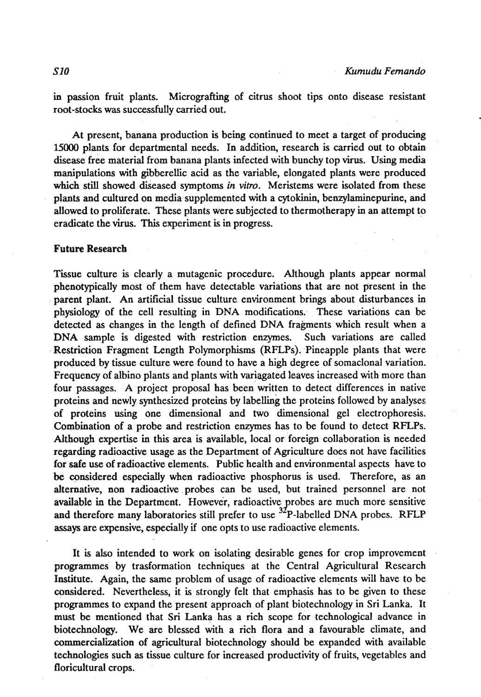in passion fruit plants. Micrografting of citrus shoot tips onto disease resistant root-stocks was successfully carried out.

At present, banana production is being continued to meet a target of producing 15000 plants for departmental needs. In addition, research is carried out to obtain disease free material from banana plants infected with bunchy top virus. Using media manipulations with gibberellic acid as the variable, elongated plants were produced which still showed diseased symptoms *in vitro.* Meristems were isolated from these plants and cultured on media supplemented with a cytokinin, benzylaminepurine, and allowed to proliferate. These plants were subjected to thermotherapy in an attempt to eradicate the virus. This experiment is in progress.

#### Future Research

Tissue culture is clearly a mutagenic procedure. Although plants appear normal phenotypically most of them have detectable variations that are not present in the parent plant. An artificial tissue culture environment brings about disturbances in physiology of the cell resulting in DNA modifications. These variations can be detected as changes in the length of defined DNA fragments which result when a DNA sample is digested with restriction enzymes. Such variations are called Restriction Fragment Length Polymorphisrns (RFLPs). Pineapple plaats that were produced by tissue culture were found to have a high degree of somaclonal variation. Frequency of albino plants and plants with variagated leaves increased with more than four passages. A project proposal has been written to detect differences in native proteins and newly synthesized proteins by labelling the proteins followed by analyses of proteins using one dimensional and two dimensional gel electrophoresis. Combination of a probe and restriction enzymes has to be found to detect RFLPs. Although expertise in this area is available, local or foreign collaboration is needed regarding radioactive usage as the Department of Agriculture does not have facilities for safe use of radioactive elements. Public health and environmental aspects have to be considered especially when radioactive phosphorus is used. Therefore, as an alternative, non radioactive probes can be used, but trained personnel are not available in the Department. However, radioactive probes are much more sensitive and therefore many laboratories still prefer to use  $^{32}P$ -labelled DNA probes. RFLP **assays** are expensive, especially if one opts to use radioactive elements.

It is also intended to work on isolating desirable genes for crop improvement programmes by trasformation techniques at the Central Agricultural Research Institute. Again, the same problem of usage of radioactive elements will have to be considered. Nevertheless, it is strongly felt that emphasis has to be given to these programmes to expand the present approach of plant biotechnology in Sri Lanka. It must be mentioned that **Sri** Lanka has a rich scope for technological advance in biotechnology. We are blessed with a rich flora and a favourable climate, and commercialization of agricultural biotechnology should be expanded with available technologies such as tissue culture for increased productivity of fruits, vegetables and floricultural crops.